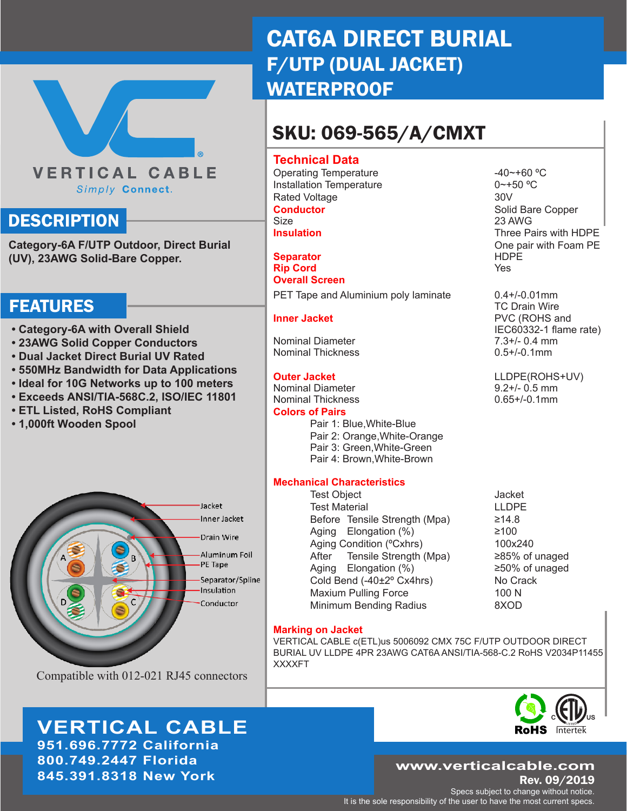# **VERTICAL CABLE** Simply Connect.

## **DESCRIPTION**

**Category-6A F/UTP Outdoor, Direct Burial (UV), 23AWG Solid-Bare Copper.**

## FEATURES

- **Category-6A with Overall Shield**
- **23AWG Solid Copper Conductors**
- **Dual Jacket Direct Burial UV Rated**
- **550MHz Bandwidth for Data Applications**
- **Ideal for 10G Networks up to 100 meters**
- **Exceeds ANSI/TIA-568C.2, ISO/IEC 11801**
- **ETL Listed, RoHS Compliant**
- **1,000ft Wooden Spool**



Compatible with 012-021 RJ45 connectors

**VERTICAL CABLE 951.696.7772 California 800.749.2447 Florida 845.391.8318 New York**

# CAT6A DIRECT BURIAL F/UTP (DUAL JACKET) **WATERPROOF**

# SKU: 069-565/A/CMXT

### **Technical Data**

Operating Temperature -40~+60 °C Installation Temperature 0~+50 °C Rated Voltage 30V **Conductor** Solid Bare Copper<br>Size 23 AWG **Insulation** Three Pairs with HDPE

**Separator** HDPE **Rip Cord Overall Screen**  PET Tape and Aluminium poly laminate 0.4+/-0.01mm

Nominal Diameter 7.3+/- 0.4 mm Nominal Thickness

Nominal Diameter 9.2+/- 0.5 mm Nominal Thickness **Colors of Pairs**

- Pair 1: Blue,White-Blue
- Pair 2: Orange,White-Orange
- Pair 3: Green,White-Green Pair 4: Brown,White-Brown

#### **Mechanical Characteristics**

Test Object **Contract Contract Contract Contract Contract Contract Contract Contract Contract Contract Contract Contract Contract Contract Contract Contract Contract Contract Contract Contract Contract Contract Contract Co** Test Material **LLDPE** Before Tensile Strength (Mpa)  $\geq 14.8$ Aging Elongation  $(\%)$   $\geq 100$ Aging Condition (°Cxhrs) 100x240 After Tensile Strength (Mpa)  $\geq 85\%$  of unaged Aging Elongation  $(\%)$   $\geq 50\%$  of unaged Cold Bend (-40±2° Cx4hrs) No Crack Maxium Pulling Force 100 N Minimum Bending Radius **8XOD** 

### **Marking on Jacket**

VERTICAL CABLE c(ETL)us 5006092 CMX 75C F/UTP OUTDOOR DIRECT BURIAL UV LLDPE 4PR 23AWG CAT6A ANSI/TIA-568-C.2 RoHS V2034P11455 XXXXFT



### Rev. 09/2019 **www.verticalcable.com**

Specs subject to change without notice. It is the sole responsibility of the user to have the most current specs.

23 AWG One pair with Foam PE

 TC Drain Wire **Inner Jacket PVC (ROHS and** IEC60332-1 flame rate)<br>7.3+/- 0.4 mm

**Outer Jacket** LLDPE(ROHS+UV)